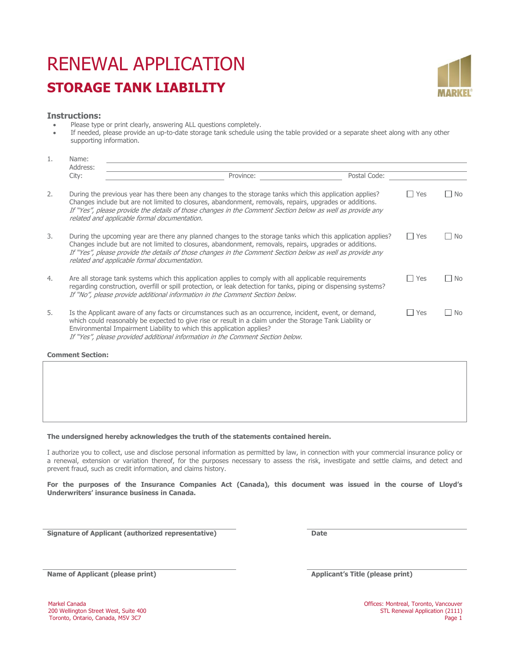# RENEWAL APPLICATION **STORAGE TANK LIABILITY**



### **Instructions:**

- Please type or print clearly, answering ALL questions completely.
- If needed, please provide an up-to-date storage tank schedule using the table provided or a separate sheet along with any other supporting information.

|    | Name:<br>Address:                                                                                                                                                                                                                                                                                                                                                                   |              |       |               |  |  |
|----|-------------------------------------------------------------------------------------------------------------------------------------------------------------------------------------------------------------------------------------------------------------------------------------------------------------------------------------------------------------------------------------|--------------|-------|---------------|--|--|
|    | Province:<br>City:                                                                                                                                                                                                                                                                                                                                                                  | Postal Code: |       |               |  |  |
| 2. | During the previous year has there been any changes to the storage tanks which this application applies?<br>Changes include but are not limited to closures, abandonment, removals, repairs, upgrades or additions.<br>If "Yes", please provide the details of those changes in the Comment Section below as well as provide any<br>related and applicable formal documentation.    |              | Yes   | <b>No</b>     |  |  |
| 3. | During the upcoming year are there any planned changes to the storage tanks which this application applies?<br>Changes include but are not limited to closures, abandonment, removals, repairs, upgrades or additions.<br>If "Yes", please provide the details of those changes in the Comment Section below as well as provide any<br>related and applicable formal documentation. |              | Yes   | No.<br>$\Box$ |  |  |
| 4. | Are all storage tank systems which this application applies to comply with all applicable requirements<br>regarding construction, overfill or spill protection, or leak detection for tanks, piping or dispensing systems?<br>If "No", please provide additional information in the Comment Section below.                                                                          |              | l Yes | No.<br>$\Box$ |  |  |
| 5. | Is the Applicant aware of any facts or circumstances such as an occurrence, incident, event, or demand,<br>which could reasonably be expected to give rise or result in a claim under the Storage Tank Liability or<br>Environmental Impairment Liability to which this application applies?<br>If "Yes", please provided additional information in the Comment Section below.      |              | Yes   | No.           |  |  |

**Comment Section:**

#### **The undersigned hereby acknowledges the truth of the statements contained herein.**

I authorize you to collect, use and disclose personal information as permitted by law, in connection with your commercial insurance policy or a renewal, extension or variation thereof, for the purposes necessary to assess the risk, investigate and settle claims, and detect and prevent fraud, such as credit information, and claims history.

**For the purposes of the Insurance Companies Act (Canada), this document was issued in the course of Lloyd's Underwriters' insurance business in Canada.** 

**Signature of Applicant (authorized representative) Date**

**Name of Applicant (please print) Applicant's Title (please print)**

200 Wellington Street West, Suite 400<br>
200 Toronto, Ontario, Canada, M5V 3C7<br>
200 Page 1 Toronto, Ontario, Canada, M5V 3C7

Markel Canada Canada Canada Offices: Montreal, Toronto, Vancouver<br>200 Wellington Street West, Suite 400 STL Renewal Application (2111)